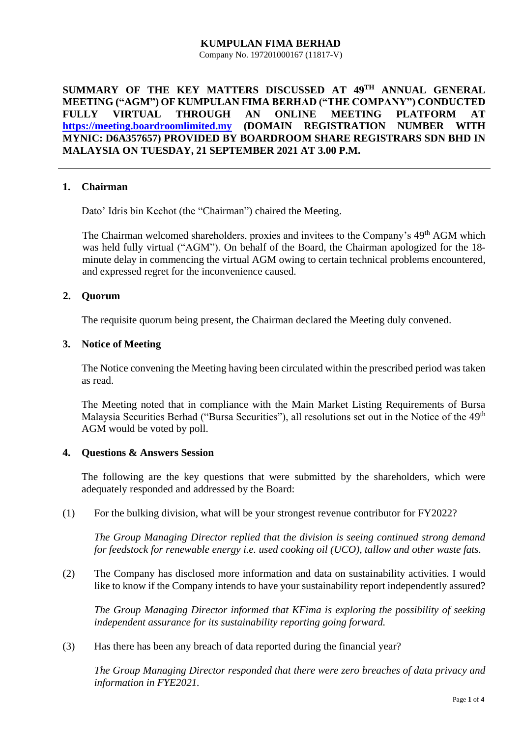#### **KUMPULAN FIMA BERHAD** Company No. 197201000167 (11817-V)

**SUMMARY OF THE KEY MATTERS DISCUSSED AT 49TH ANNUAL GENERAL MEETING ("AGM") OF KUMPULAN FIMA BERHAD ("THE COMPANY") CONDUCTED FULLY VIRTUAL THROUGH AN ONLINE MEETING PLATFORM AT [https://meeting.boardroomlimited.my](https://meeting.boardroomlimited.my/) (DOMAIN REGISTRATION NUMBER WITH MYNIC: D6A357657) PROVIDED BY BOARDROOM SHARE REGISTRARS SDN BHD IN MALAYSIA ON TUESDAY, 21 SEPTEMBER 2021 AT 3.00 P.M.**

## **1. Chairman**

Dato' Idris bin Kechot (the "Chairman") chaired the Meeting.

The Chairman welcomed shareholders, proxies and invitees to the Company's 49<sup>th</sup> AGM which was held fully virtual ("AGM"). On behalf of the Board, the Chairman apologized for the 18 minute delay in commencing the virtual AGM owing to certain technical problems encountered, and expressed regret for the inconvenience caused.

## **2. Quorum**

The requisite quorum being present, the Chairman declared the Meeting duly convened.

### **3. Notice of Meeting**

The Notice convening the Meeting having been circulated within the prescribed period was taken as read.

The Meeting noted that in compliance with the Main Market Listing Requirements of Bursa Malaysia Securities Berhad ("Bursa Securities"), all resolutions set out in the Notice of the 49<sup>th</sup> AGM would be voted by poll.

## **4. Questions & Answers Session**

The following are the key questions that were submitted by the shareholders, which were adequately responded and addressed by the Board:

(1) For the bulking division, what will be your strongest revenue contributor for FY2022?

*The Group Managing Director replied that the division is seeing continued strong demand for feedstock for renewable energy i.e. used cooking oil (UCO), tallow and other waste fats.*

(2) The Company has disclosed more information and data on sustainability activities. I would like to know if the Company intends to have your sustainability report independently assured?

*The Group Managing Director informed that KFima is exploring the possibility of seeking independent assurance for its sustainability reporting going forward.*

(3) Has there has been any breach of data reported during the financial year?

*The Group Managing Director responded that there were zero breaches of data privacy and information in FYE2021.*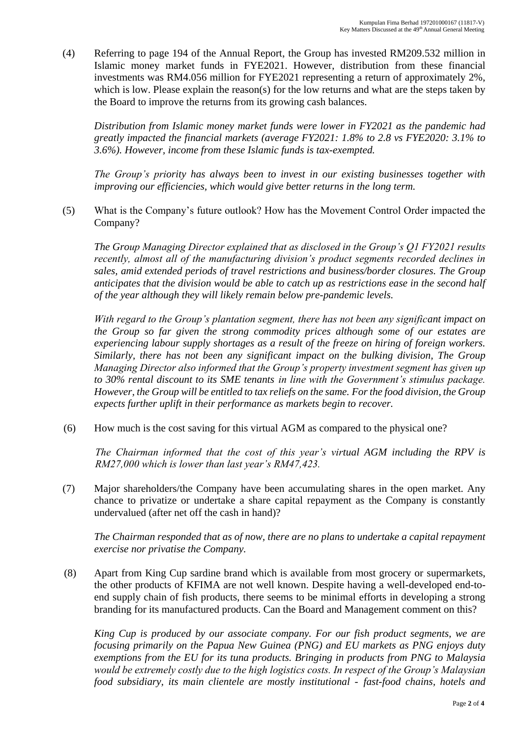(4) Referring to page 194 of the Annual Report, the Group has invested RM209.532 million in Islamic money market funds in FYE2021. However, distribution from these financial investments was RM4.056 million for FYE2021 representing a return of approximately 2%, which is low. Please explain the reason(s) for the low returns and what are the steps taken by the Board to improve the returns from its growing cash balances.

*Distribution from Islamic money market funds were lower in FY2021 as the pandemic had greatly impacted the financial markets (average FY2021: 1.8% to 2.8 vs FYE2020: 3.1% to 3.6%). However, income from these Islamic funds is tax-exempted.* 

*The Group's priority has always been to invest in our existing businesses together with improving our efficiencies, which would give better returns in the long term.*

(5) What is the Company's future outlook? How has the Movement Control Order impacted the Company?

*The Group Managing Director explained that as disclosed in the Group's Q1 FY2021 results recently, almost all of the manufacturing division's product segments recorded declines in sales, amid extended periods of travel restrictions and business/border closures. The Group anticipates that the division would be able to catch up as restrictions ease in the second half of the year although they will likely remain below pre-pandemic levels.*

*With regard to the Group's plantation segment, there has not been any significant impact on the Group so far given the strong commodity prices although some of our estates are experiencing labour supply shortages as a result of the freeze on hiring of foreign workers. Similarly, there has not been any significant impact on the bulking division, The Group Managing Director also informed that the Group's property investment segment has given up to 30% rental discount to its SME tenants in line with the Government's stimulus package. However, the Group will be entitled to tax reliefs on the same. For the food division, the Group expects further uplift in their performance as markets begin to recover.* 

(6) How much is the cost saving for this virtual AGM as compared to the physical one?

*The Chairman informed that the cost of this year's virtual AGM including the RPV is RM27,000 which is lower than last year's RM47,423.* 

(7) Major shareholders/the Company have been accumulating shares in the open market. Any chance to privatize or undertake a share capital repayment as the Company is constantly undervalued (after net off the cash in hand)?

*The Chairman responded that as of now, there are no plans to undertake a capital repayment exercise nor privatise the Company.*

(8) Apart from King Cup sardine brand which is available from most grocery or supermarkets, the other products of KFIMA are not well known. Despite having a well-developed end-toend supply chain of fish products, there seems to be minimal efforts in developing a strong branding for its manufactured products. Can the Board and Management comment on this?

*King Cup is produced by our associate company. For our fish product segments, we are focusing primarily on the Papua New Guinea (PNG) and EU markets as PNG enjoys duty exemptions from the EU for its tuna products. Bringing in products from PNG to Malaysia would be extremely costly due to the high logistics costs. In respect of the Group's Malaysian food subsidiary, its main clientele are mostly institutional - fast-food chains, hotels and*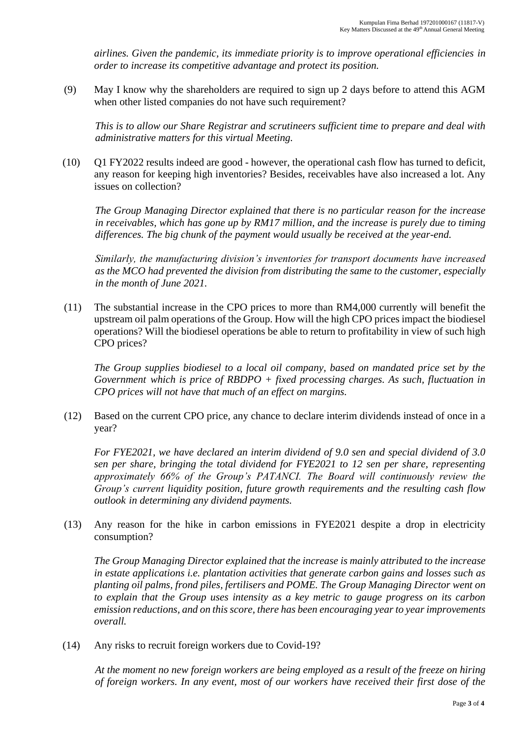*airlines. Given the pandemic, its immediate priority is to improve operational efficiencies in order to increase its competitive advantage and protect its position.*

(9) May I know why the shareholders are required to sign up 2 days before to attend this AGM when other listed companies do not have such requirement?

*This is to allow our Share Registrar and scrutineers sufficient time to prepare and deal with administrative matters for this virtual Meeting.*

(10) Q1 FY2022 results indeed are good - however, the operational cash flow has turned to deficit, any reason for keeping high inventories? Besides, receivables have also increased a lot. Any issues on collection?

*The Group Managing Director explained that there is no particular reason for the increase in receivables, which has gone up by RM17 million, and the increase is purely due to timing differences. The big chunk of the payment would usually be received at the year-end.*

*Similarly, the manufacturing division's inventories for transport documents have increased as the MCO had prevented the division from distributing the same to the customer, especially in the month of June 2021.*

(11) The substantial increase in the CPO prices to more than RM4,000 currently will benefit the upstream oil palm operations of the Group. How will the high CPO prices impact the biodiesel operations? Will the biodiesel operations be able to return to profitability in view of such high CPO prices?

*The Group supplies biodiesel to a local oil company, based on mandated price set by the Government which is price of RBDPO + fixed processing charges. As such, fluctuation in CPO prices will not have that much of an effect on margins.* 

(12) Based on the current CPO price, any chance to declare interim dividends instead of once in a year?

*For FYE2021, we have declared an interim dividend of 9.0 sen and special dividend of 3.0 sen per share, bringing the total dividend for FYE2021 to 12 sen per share, representing approximately 66% of the Group's PATANCI. The Board will continuously review the Group's current liquidity position, future growth requirements and the resulting cash flow outlook in determining any dividend payments.*

(13) Any reason for the hike in carbon emissions in FYE2021 despite a drop in electricity consumption?

*The Group Managing Director explained that the increase is mainly attributed to the increase in estate applications i.e. plantation activities that generate carbon gains and losses such as planting oil palms, frond piles, fertilisers and POME. The Group Managing Director went on to explain that the Group uses intensity as a key metric to gauge progress on its carbon emission reductions, and on this score, there has been encouraging year to year improvements overall.*

(14) Any risks to recruit foreign workers due to Covid-19?

*At the moment no new foreign workers are being employed as a result of the freeze on hiring of foreign workers. In any event, most of our workers have received their first dose of the*